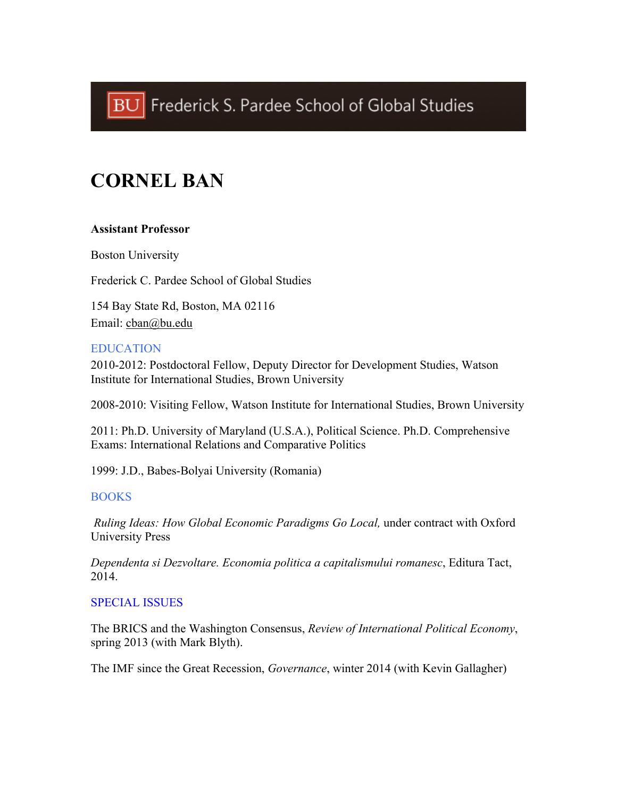# **CORNEL BAN**

## **Assistant Professor**

Boston University

Frederick C. Pardee School of Global Studies

154 Bay State Rd, Boston, MA 02116 Email: cban@bu.edu

#### EDUCATION

2010-2012: Postdoctoral Fellow, Deputy Director for Development Studies, Watson Institute for International Studies, Brown University

2008-2010: Visiting Fellow, Watson Institute for International Studies, Brown University

2011: Ph.D. University of Maryland (U.S.A.), Political Science. Ph.D. Comprehensive Exams: International Relations and Comparative Politics

1999: J.D., Babes-Bolyai University (Romania)

#### **BOOKS**

*Ruling Ideas: How Global Economic Paradigms Go Local,* under contract with Oxford University Press

*Dependenta si Dezvoltare. Economia politica a capitalismului romanesc*, Editura Tact, 2014.

#### SPECIAL ISSUES

The BRICS and the Washington Consensus, *Review of International Political Economy*, spring 2013 (with Mark Blyth).

The IMF since the Great Recession, *Governance*, winter 2014 (with Kevin Gallagher)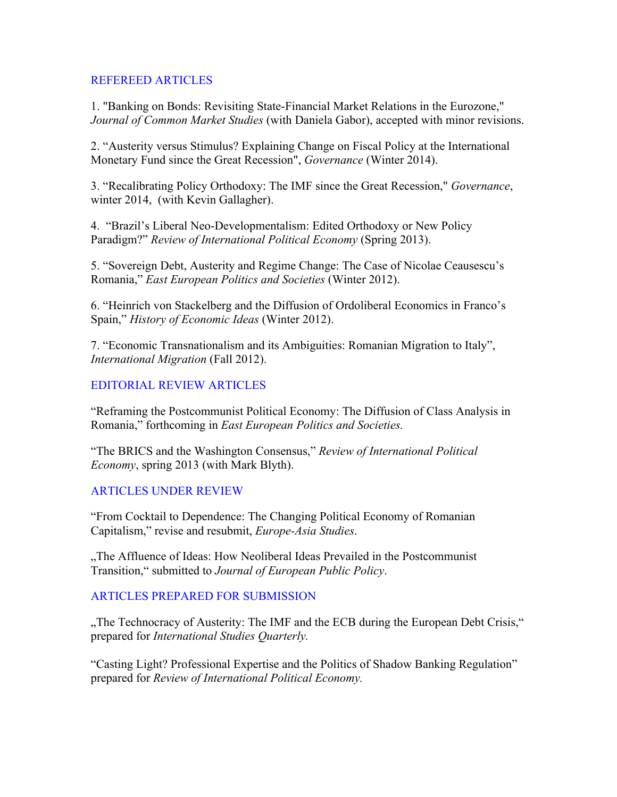#### REFEREED ARTICLES

1. "Banking on Bonds: Revisiting State-Financial Market Relations in the Eurozone," *Journal of Common Market Studies* (with Daniela Gabor), accepted with minor revisions.

2. "Austerity versus Stimulus? Explaining Change on Fiscal Policy at the International Monetary Fund since the Great Recession", *Governance* (Winter 2014).

3. "Recalibrating Policy Orthodoxy: The IMF since the Great Recession," *Governance*, winter 2014, (with Kevin Gallagher).

4. "Brazil's Liberal Neo-Developmentalism: Edited Orthodoxy or New Policy Paradigm?" *Review of International Political Economy* (Spring 2013).

5. "Sovereign Debt, Austerity and Regime Change: The Case of Nicolae Ceausescu's Romania," *East European Politics and Societies* (Winter 2012).

6. "Heinrich von Stackelberg and the Diffusion of Ordoliberal Economics in Franco's Spain," *History of Economic Ideas* (Winter 2012).

7. "Economic Transnationalism and its Ambiguities: Romanian Migration to Italy", *International Migration* (Fall 2012).

## EDITORIAL REVIEW ARTICLES

"Reframing the Postcommunist Political Economy: The Diffusion of Class Analysis in Romania," forthcoming in *East European Politics and Societies.*

"The BRICS and the Washington Consensus," *Review of International Political Economy*, spring 2013 (with Mark Blyth).

## ARTICLES UNDER REVIEW

"From Cocktail to Dependence: The Changing Political Economy of Romanian Capitalism," revise and resubmit, *Europe-Asia Studies*.

"The Affluence of Ideas: How Neoliberal Ideas Prevailed in the Postcommunist Transition," submitted to *Journal of European Public Policy*.

## ARTICLES PREPARED FOR SUBMISSION

"The Technocracy of Austerity: The IMF and the ECB during the European Debt Crisis," prepared for *International Studies Quarterly.*

"Casting Light? Professional Expertise and the Politics of Shadow Banking Regulation" prepared for *Review of International Political Economy.*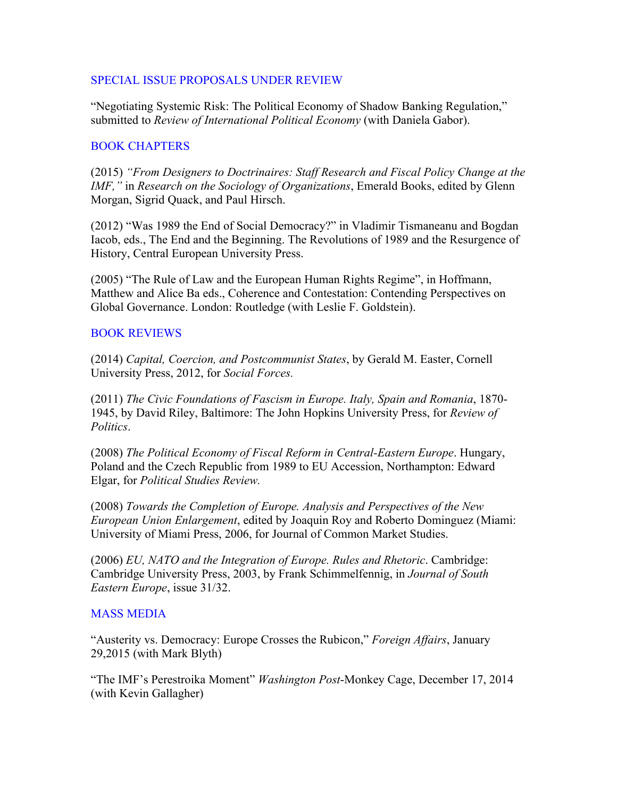#### SPECIAL ISSUE PROPOSALS UNDER REVIEW

"Negotiating Systemic Risk: The Political Economy of Shadow Banking Regulation," submitted to *Review of International Political Economy* (with Daniela Gabor).

#### BOOK CHAPTERS

(2015) *"From Designers to Doctrinaires: Staff Research and Fiscal Policy Change at the IMF,"* in *Research on the Sociology of Organizations*, Emerald Books, edited by Glenn Morgan, Sigrid Quack, and Paul Hirsch.

(2012) "Was 1989 the End of Social Democracy?" in Vladimir Tismaneanu and Bogdan Iacob, eds., The End and the Beginning. The Revolutions of 1989 and the Resurgence of History, Central European University Press.

(2005) "The Rule of Law and the European Human Rights Regime", in Hoffmann, Matthew and Alice Ba eds., Coherence and Contestation: Contending Perspectives on Global Governance. London: Routledge (with Leslie F. Goldstein).

## BOOK REVIEWS

(2014) *Capital, Coercion, and Postcommunist States*, by Gerald M. Easter, Cornell University Press, 2012, for *Social Forces.*

(2011) *The Civic Foundations of Fascism in Europe. Italy, Spain and Romania*, 1870- 1945, by David Riley, Baltimore: The John Hopkins University Press, for *Review of Politics*.

(2008) *The Political Economy of Fiscal Reform in Central-Eastern Europe*. Hungary, Poland and the Czech Republic from 1989 to EU Accession, Northampton: Edward Elgar, for *Political Studies Review.*

(2008) *Towards the Completion of Europe. Analysis and Perspectives of the New European Union Enlargement*, edited by Joaquin Roy and Roberto Dominguez (Miami: University of Miami Press, 2006, for Journal of Common Market Studies.

(2006) *EU, NATO and the Integration of Europe. Rules and Rhetoric*. Cambridge: Cambridge University Press, 2003, by Frank Schimmelfennig, in *Journal of South Eastern Europe*, issue 31/32.

## MASS MEDIA

"Austerity vs. Democracy: Europe Crosses the Rubicon," *Foreign Affairs*, January 29,2015 (with Mark Blyth)

"The IMF's Perestroika Moment" *Washington Post*-Monkey Cage, December 17, 2014 (with Kevin Gallagher)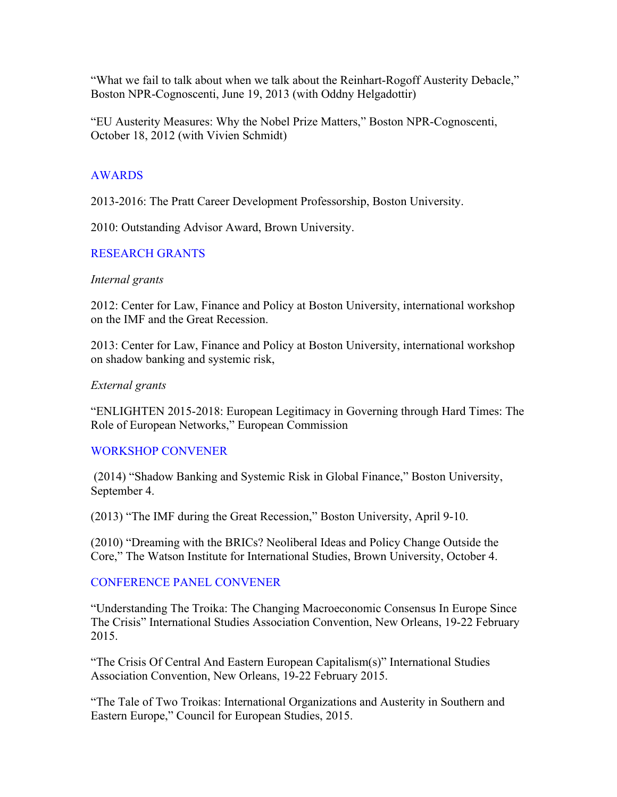"What we fail to talk about when we talk about the Reinhart-Rogoff Austerity Debacle," Boston NPR-Cognoscenti, June 19, 2013 (with Oddny Helgadottir)

"EU Austerity Measures: Why the Nobel Prize Matters," Boston NPR-Cognoscenti, October 18, 2012 (with Vivien Schmidt)

## AWARDS

2013-2016: The Pratt Career Development Professorship, Boston University.

2010: Outstanding Advisor Award, Brown University.

#### RESEARCH GRANTS

#### *Internal grants*

2012: Center for Law, Finance and Policy at Boston University, international workshop on the IMF and the Great Recession.

2013: Center for Law, Finance and Policy at Boston University, international workshop on shadow banking and systemic risk,

#### *External grants*

"ENLIGHTEN 2015-2018: European Legitimacy in Governing through Hard Times: The Role of European Networks," European Commission

#### WORKSHOP CONVENER

(2014) "Shadow Banking and Systemic Risk in Global Finance," Boston University, September 4.

(2013) "The IMF during the Great Recession," Boston University, April 9-10.

(2010) "Dreaming with the BRICs? Neoliberal Ideas and Policy Change Outside the Core," The Watson Institute for International Studies, Brown University, October 4.

#### CONFERENCE PANEL CONVENER

"Understanding The Troika: The Changing Macroeconomic Consensus In Europe Since The Crisis" International Studies Association Convention, New Orleans, 19-22 February 2015.

"The Crisis Of Central And Eastern European Capitalism(s)" International Studies Association Convention, New Orleans, 19-22 February 2015.

"The Tale of Two Troikas: International Organizations and Austerity in Southern and Eastern Europe," Council for European Studies, 2015.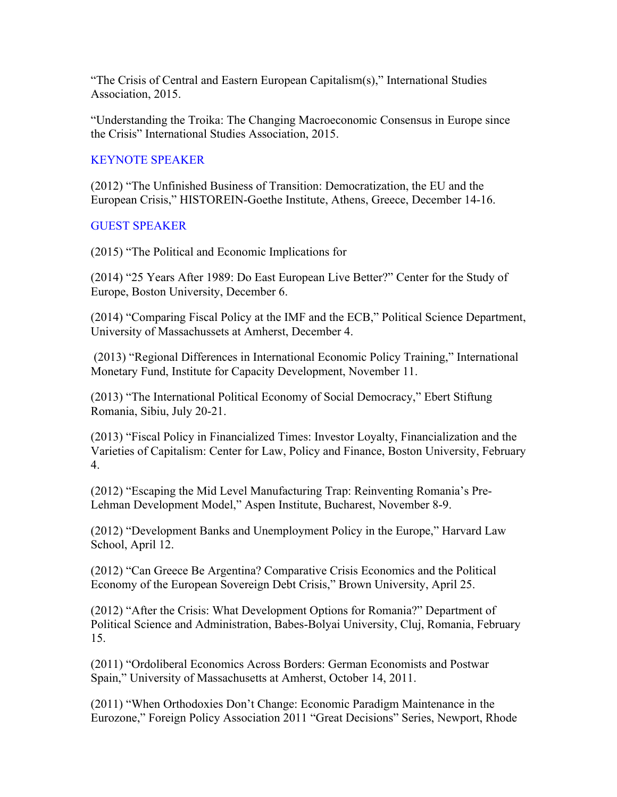"The Crisis of Central and Eastern European Capitalism(s)," International Studies Association, 2015.

"Understanding the Troika: The Changing Macroeconomic Consensus in Europe since the Crisis" International Studies Association, 2015.

# KEYNOTE SPEAKER

(2012) "The Unfinished Business of Transition: Democratization, the EU and the European Crisis," HISTOREIN-Goethe Institute, Athens, Greece, December 14-16.

## GUEST SPEAKER

(2015) "The Political and Economic Implications for

(2014) "25 Years After 1989: Do East European Live Better?" Center for the Study of Europe, Boston University, December 6.

(2014) "Comparing Fiscal Policy at the IMF and the ECB," Political Science Department, University of Massachussets at Amherst, December 4.

(2013) "Regional Differences in International Economic Policy Training," International Monetary Fund, Institute for Capacity Development, November 11.

(2013) "The International Political Economy of Social Democracy," Ebert Stiftung Romania, Sibiu, July 20-21.

(2013) "Fiscal Policy in Financialized Times: Investor Loyalty, Financialization and the Varieties of Capitalism: Center for Law, Policy and Finance, Boston University, February 4.

(2012) "Escaping the Mid Level Manufacturing Trap: Reinventing Romania's Pre-Lehman Development Model," Aspen Institute, Bucharest, November 8-9.

(2012) "Development Banks and Unemployment Policy in the Europe," Harvard Law School, April 12.

(2012) "Can Greece Be Argentina? Comparative Crisis Economics and the Political Economy of the European Sovereign Debt Crisis," Brown University, April 25.

(2012) "After the Crisis: What Development Options for Romania?" Department of Political Science and Administration, Babes-Bolyai University, Cluj, Romania, February 15.

(2011) "Ordoliberal Economics Across Borders: German Economists and Postwar Spain," University of Massachusetts at Amherst, October 14, 2011.

(2011) "When Orthodoxies Don't Change: Economic Paradigm Maintenance in the Eurozone," Foreign Policy Association 2011 "Great Decisions" Series, Newport, Rhode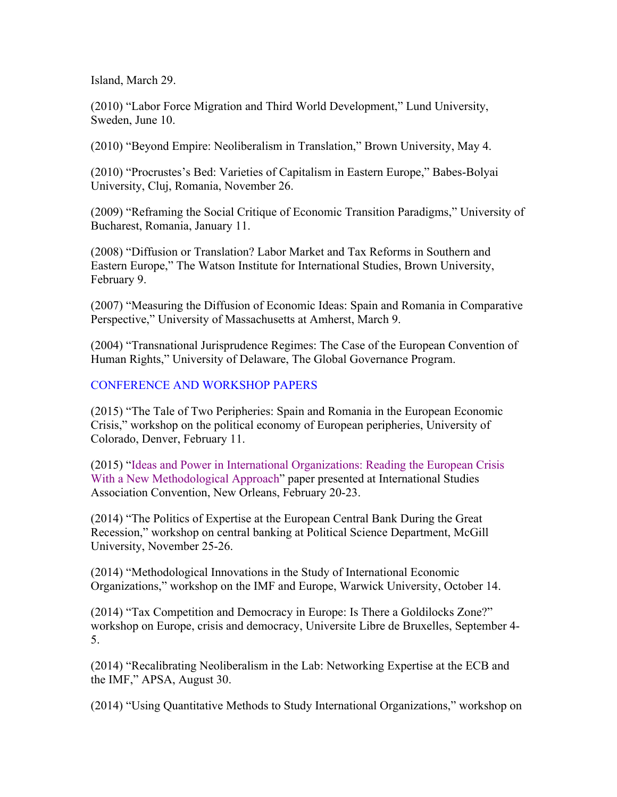Island, March 29.

(2010) "Labor Force Migration and Third World Development," Lund University, Sweden, June 10.

(2010) "Beyond Empire: Neoliberalism in Translation," Brown University, May 4.

(2010) "Procrustes's Bed: Varieties of Capitalism in Eastern Europe," Babes-Bolyai University, Cluj, Romania, November 26.

(2009) "Reframing the Social Critique of Economic Transition Paradigms," University of Bucharest, Romania, January 11.

(2008) "Diffusion or Translation? Labor Market and Tax Reforms in Southern and Eastern Europe," The Watson Institute for International Studies, Brown University, February 9.

(2007) "Measuring the Diffusion of Economic Ideas: Spain and Romania in Comparative Perspective," University of Massachusetts at Amherst, March 9.

(2004) "Transnational Jurisprudence Regimes: The Case of the European Convention of Human Rights," University of Delaware, The Global Governance Program.

## CONFERENCE AND WORKSHOP PAPERS

(2015) "The Tale of Two Peripheries: Spain and Romania in the European Economic Crisis," workshop on the political economy of European peripheries, University of Colorado, Denver, February 11.

(2015) "Ideas and Power in International Organizations: Reading the European Crisis With a New Methodological Approach" paper presented at International Studies Association Convention, New Orleans, February 20-23.

(2014) "The Politics of Expertise at the European Central Bank During the Great Recession," workshop on central banking at Political Science Department, McGill University, November 25-26.

(2014) "Methodological Innovations in the Study of International Economic Organizations," workshop on the IMF and Europe, Warwick University, October 14.

(2014) "Tax Competition and Democracy in Europe: Is There a Goldilocks Zone?" workshop on Europe, crisis and democracy, Universite Libre de Bruxelles, September 4- 5.

(2014) "Recalibrating Neoliberalism in the Lab: Networking Expertise at the ECB and the IMF," APSA, August 30.

(2014) "Using Quantitative Methods to Study International Organizations," workshop on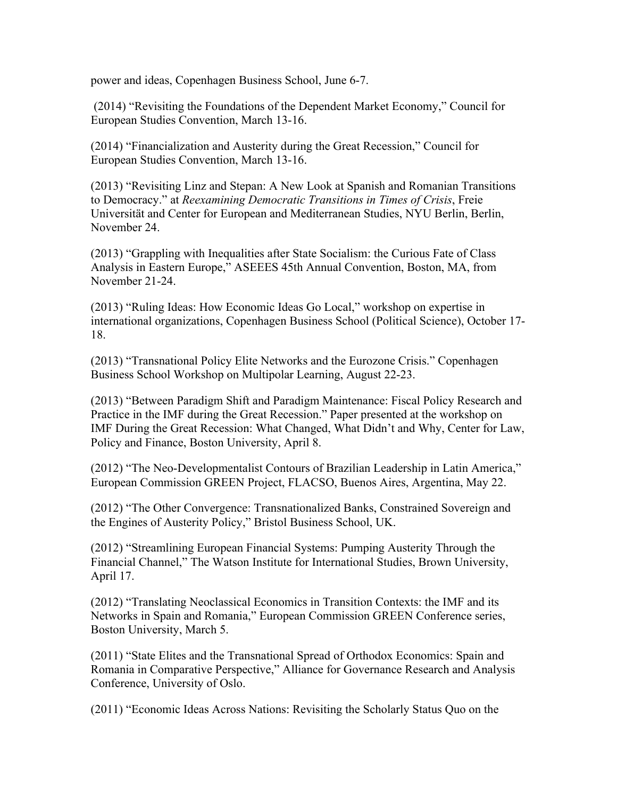power and ideas, Copenhagen Business School, June 6-7.

(2014) "Revisiting the Foundations of the Dependent Market Economy," Council for European Studies Convention, March 13-16.

(2014) "Financialization and Austerity during the Great Recession," Council for European Studies Convention, March 13-16.

(2013) "Revisiting Linz and Stepan: A New Look at Spanish and Romanian Transitions to Democracy." at *Reexamining Democratic Transitions in Times of Crisis*, Freie Universität and Center for European and Mediterranean Studies, NYU Berlin, Berlin, November 24.

(2013) "Grappling with Inequalities after State Socialism: the Curious Fate of Class Analysis in Eastern Europe," ASEEES 45th Annual Convention, Boston, MA, from November 21-24.

(2013) "Ruling Ideas: How Economic Ideas Go Local," workshop on expertise in international organizations, Copenhagen Business School (Political Science), October 17- 18.

(2013) "Transnational Policy Elite Networks and the Eurozone Crisis." Copenhagen Business School Workshop on Multipolar Learning, August 22-23.

(2013) "Between Paradigm Shift and Paradigm Maintenance: Fiscal Policy Research and Practice in the IMF during the Great Recession." Paper presented at the workshop on IMF During the Great Recession: What Changed, What Didn't and Why, Center for Law, Policy and Finance, Boston University, April 8.

(2012) "The Neo-Developmentalist Contours of Brazilian Leadership in Latin America," European Commission GREEN Project, FLACSO, Buenos Aires, Argentina, May 22.

(2012) "The Other Convergence: Transnationalized Banks, Constrained Sovereign and the Engines of Austerity Policy," Bristol Business School, UK.

(2012) "Streamlining European Financial Systems: Pumping Austerity Through the Financial Channel," The Watson Institute for International Studies, Brown University, April 17.

(2012) "Translating Neoclassical Economics in Transition Contexts: the IMF and its Networks in Spain and Romania," European Commission GREEN Conference series, Boston University, March 5.

(2011) "State Elites and the Transnational Spread of Orthodox Economics: Spain and Romania in Comparative Perspective," Alliance for Governance Research and Analysis Conference, University of Oslo.

(2011) "Economic Ideas Across Nations: Revisiting the Scholarly Status Quo on the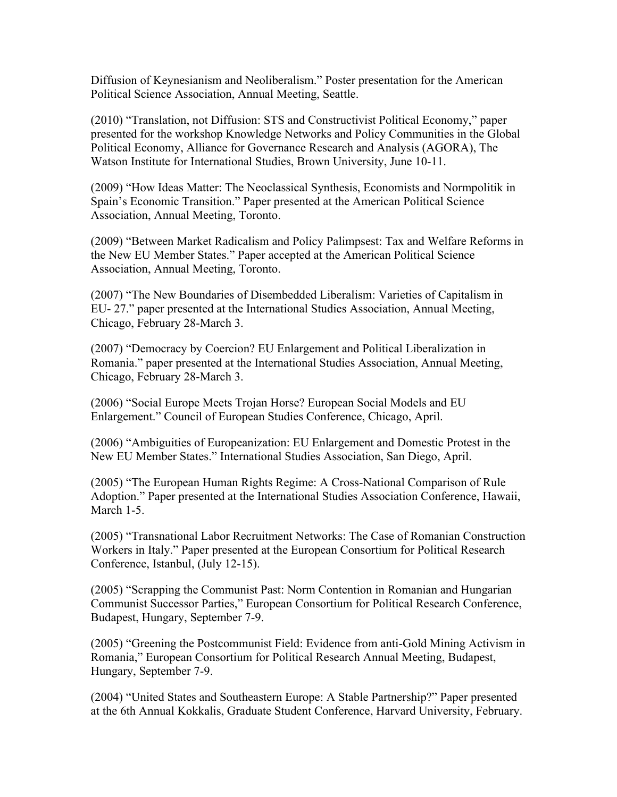Diffusion of Keynesianism and Neoliberalism." Poster presentation for the American Political Science Association, Annual Meeting, Seattle.

(2010) "Translation, not Diffusion: STS and Constructivist Political Economy," paper presented for the workshop Knowledge Networks and Policy Communities in the Global Political Economy, Alliance for Governance Research and Analysis (AGORA), The Watson Institute for International Studies, Brown University, June 10-11.

(2009) "How Ideas Matter: The Neoclassical Synthesis, Economists and Normpolitik in Spain's Economic Transition." Paper presented at the American Political Science Association, Annual Meeting, Toronto.

(2009) "Between Market Radicalism and Policy Palimpsest: Tax and Welfare Reforms in the New EU Member States." Paper accepted at the American Political Science Association, Annual Meeting, Toronto.

(2007) "The New Boundaries of Disembedded Liberalism: Varieties of Capitalism in EU- 27." paper presented at the International Studies Association, Annual Meeting, Chicago, February 28-March 3.

(2007) "Democracy by Coercion? EU Enlargement and Political Liberalization in Romania." paper presented at the International Studies Association, Annual Meeting, Chicago, February 28-March 3.

(2006) "Social Europe Meets Trojan Horse? European Social Models and EU Enlargement." Council of European Studies Conference, Chicago, April.

(2006) "Ambiguities of Europeanization: EU Enlargement and Domestic Protest in the New EU Member States." International Studies Association, San Diego, April.

(2005) "The European Human Rights Regime: A Cross-National Comparison of Rule Adoption." Paper presented at the International Studies Association Conference, Hawaii, March 1-5.

(2005) "Transnational Labor Recruitment Networks: The Case of Romanian Construction Workers in Italy." Paper presented at the European Consortium for Political Research Conference, Istanbul, (July 12-15).

(2005) "Scrapping the Communist Past: Norm Contention in Romanian and Hungarian Communist Successor Parties," European Consortium for Political Research Conference, Budapest, Hungary, September 7-9.

(2005) "Greening the Postcommunist Field: Evidence from anti-Gold Mining Activism in Romania," European Consortium for Political Research Annual Meeting, Budapest, Hungary, September 7-9.

(2004) "United States and Southeastern Europe: A Stable Partnership?" Paper presented at the 6th Annual Kokkalis, Graduate Student Conference, Harvard University, February.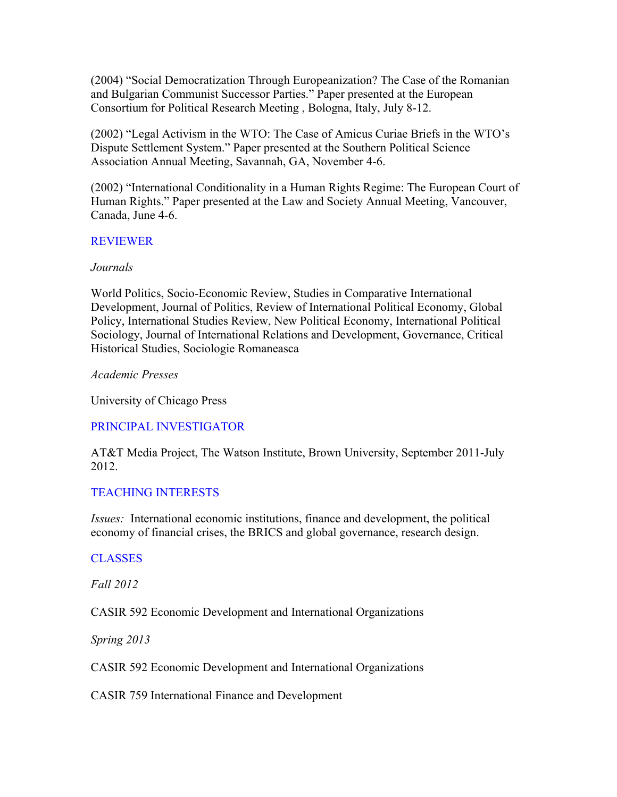(2004) "Social Democratization Through Europeanization? The Case of the Romanian and Bulgarian Communist Successor Parties." Paper presented at the European Consortium for Political Research Meeting , Bologna, Italy, July 8-12.

(2002) "Legal Activism in the WTO: The Case of Amicus Curiae Briefs in the WTO's Dispute Settlement System." Paper presented at the Southern Political Science Association Annual Meeting, Savannah, GA, November 4-6.

(2002) "International Conditionality in a Human Rights Regime: The European Court of Human Rights." Paper presented at the Law and Society Annual Meeting, Vancouver, Canada, June 4-6.

## REVIEWER

## *Journals*

World Politics, Socio-Economic Review, Studies in Comparative International Development, Journal of Politics, Review of International Political Economy, Global Policy, International Studies Review, New Political Economy, International Political Sociology, Journal of International Relations and Development, Governance, Critical Historical Studies, Sociologie Romaneasca

*Academic Presses*

University of Chicago Press

PRINCIPAL INVESTIGATOR

AT&T Media Project, The Watson Institute, Brown University, September 2011-July 2012.

## TEACHING INTERESTS

*Issues:* International economic institutions, finance and development, the political economy of financial crises, the BRICS and global governance, research design.

## **CLASSES**

*Fall 2012*

CASIR 592 Economic Development and International Organizations

*Spring 2013*

CASIR 592 Economic Development and International Organizations

CASIR 759 International Finance and Development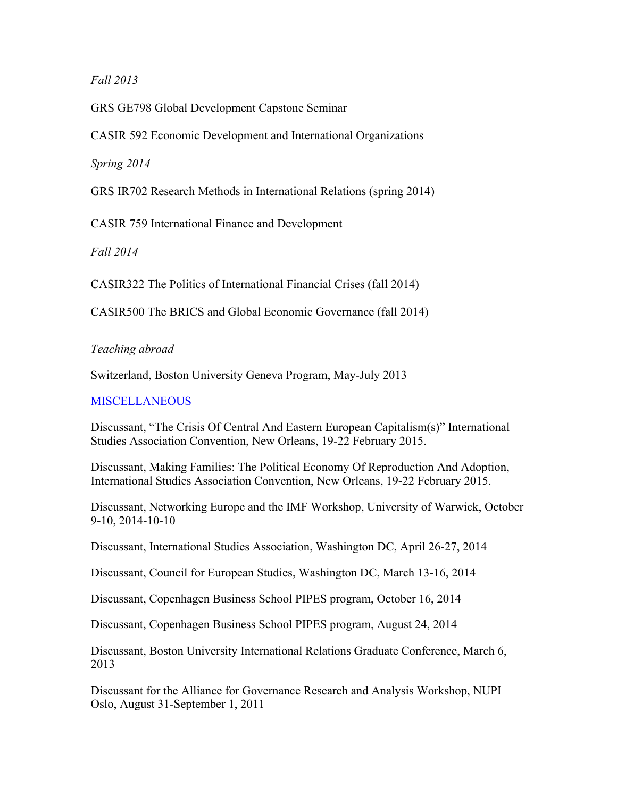## *Fall 2013*

GRS GE798 Global Development Capstone Seminar

CASIR 592 Economic Development and International Organizations

*Spring 2014*

GRS IR702 Research Methods in International Relations (spring 2014)

CASIR 759 International Finance and Development

*Fall 2014*

CASIR322 The Politics of International Financial Crises (fall 2014)

CASIR500 The BRICS and Global Economic Governance (fall 2014)

# *Teaching abroad*

Switzerland, Boston University Geneva Program, May-July 2013

## **MISCELLANEOUS**

Discussant, "The Crisis Of Central And Eastern European Capitalism(s)" International Studies Association Convention, New Orleans, 19-22 February 2015.

Discussant, Making Families: The Political Economy Of Reproduction And Adoption, International Studies Association Convention, New Orleans, 19-22 February 2015.

Discussant, Networking Europe and the IMF Workshop, University of Warwick, October 9-10, 2014-10-10

Discussant, International Studies Association, Washington DC, April 26-27, 2014

Discussant, Council for European Studies, Washington DC, March 13-16, 2014

Discussant, Copenhagen Business School PIPES program, October 16, 2014

Discussant, Copenhagen Business School PIPES program, August 24, 2014

Discussant, Boston University International Relations Graduate Conference, March 6, 2013

Discussant for the Alliance for Governance Research and Analysis Workshop, NUPI Oslo, August 31-September 1, 2011